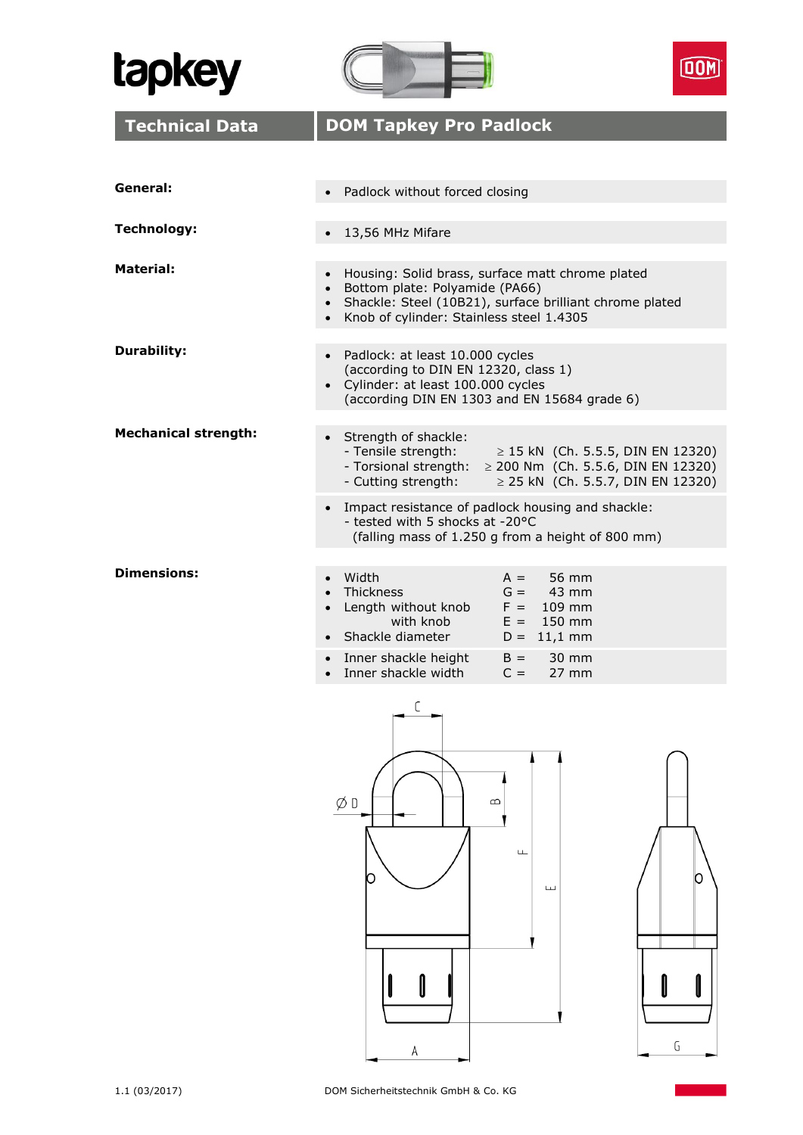





 ${\mathsf G}$ 

| <b>Technical Data</b>       | <b>DOM Tapkey Pro Padlock</b>                                                                                                                                                                                                                                                   |  |  |
|-----------------------------|---------------------------------------------------------------------------------------------------------------------------------------------------------------------------------------------------------------------------------------------------------------------------------|--|--|
|                             |                                                                                                                                                                                                                                                                                 |  |  |
| General:                    | Padlock without forced closing                                                                                                                                                                                                                                                  |  |  |
| <b>Technology:</b>          | 13,56 MHz Mifare                                                                                                                                                                                                                                                                |  |  |
| Material:                   | Housing: Solid brass, surface matt chrome plated<br>$\bullet$<br>• Bottom plate: Polyamide (PA66)<br>Shackle: Steel (10B21), surface brilliant chrome plated<br>$\bullet$<br>• Knob of cylinder: Stainless steel 1.4305                                                         |  |  |
| <b>Durability:</b>          | • Padlock: at least 10.000 cycles<br>(according to DIN EN 12320, class 1)<br>• Cylinder: at least 100.000 cycles<br>(according DIN EN 1303 and EN 15684 grade 6)                                                                                                                |  |  |
| <b>Mechanical strength:</b> | Strength of shackle:<br>- Tensile strength:<br>$\geq$ 15 kN (Ch. 5.5.5, DIN EN 12320)<br>- Torsional strength:<br>$\geq$ 200 Nm (Ch. 5.5.6, DIN EN 12320)<br>- Cutting strength:<br>$\geq$ 25 kN (Ch. 5.5.7, DIN EN 12320)<br>Impact resistance of padlock housing and shackle: |  |  |
|                             | - tested with 5 shocks at -20°C<br>(falling mass of 1.250 g from a height of 800 mm)                                                                                                                                                                                            |  |  |
| <b>Dimensions:</b>          | Width<br>56 mm<br>$A =$<br>Thickness<br>$G = 43$ mm<br>$F = 109$ mm<br>Length without knob<br>with knob<br>$E = 150$ mm<br>• Shackle diameter<br>$D = 11,1$ mm<br>Inner shackle height<br>$B =$<br>30 mm<br>$\bullet$<br>Inner shackle width<br>$C =$<br>$27 \text{ mm}$        |  |  |
|                             | С<br>ØD<br>$\infty$<br>ட<br>O<br>ш                                                                                                                                                                                                                                              |  |  |

 $\overline{A}$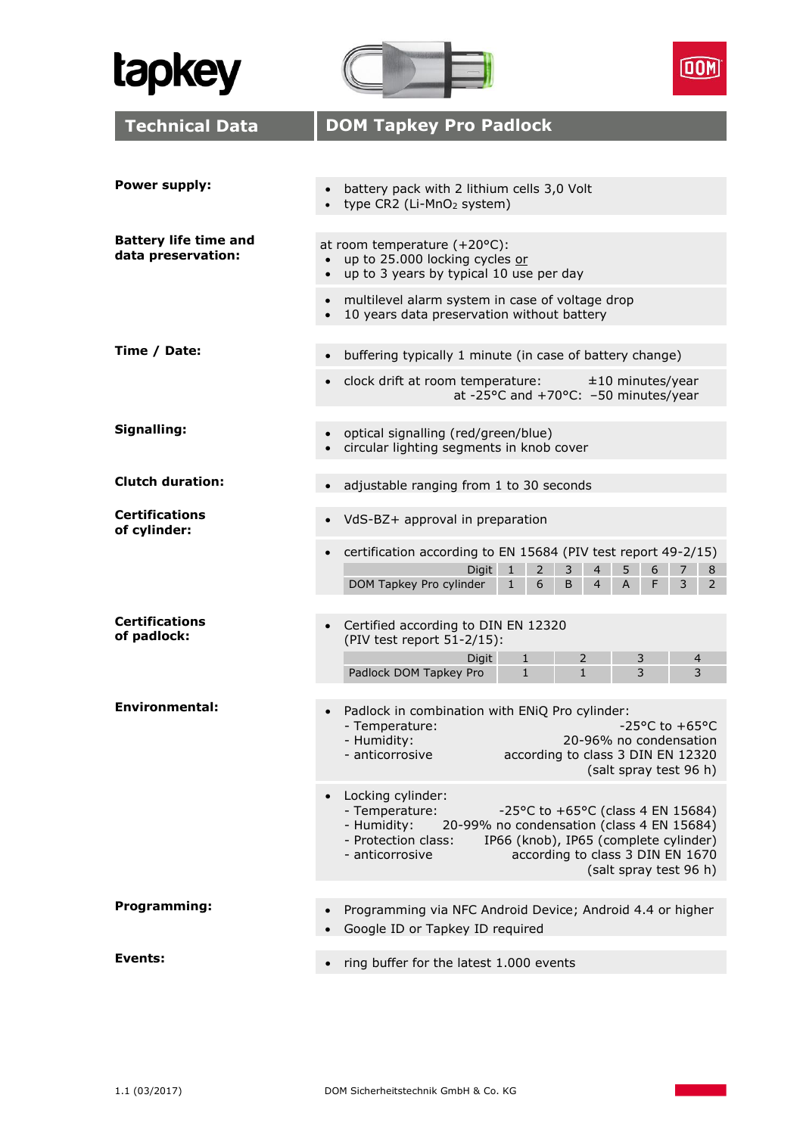





| <b>Technical Data</b>                              | <b>DOM Tapkey Pro Padlock</b>                                                                                                                                                                                                                                                         |  |  |
|----------------------------------------------------|---------------------------------------------------------------------------------------------------------------------------------------------------------------------------------------------------------------------------------------------------------------------------------------|--|--|
|                                                    |                                                                                                                                                                                                                                                                                       |  |  |
| <b>Power supply:</b>                               | battery pack with 2 lithium cells 3,0 Volt<br>type CR2 (Li-MnO <sub>2</sub> system)                                                                                                                                                                                                   |  |  |
| <b>Battery life time and</b><br>data preservation: | at room temperature (+20°C):<br>up to 25.000 locking cycles or<br>$\bullet$<br>up to 3 years by typical 10 use per day<br>$\bullet$                                                                                                                                                   |  |  |
|                                                    | multilevel alarm system in case of voltage drop<br>$\bullet$<br>10 years data preservation without battery                                                                                                                                                                            |  |  |
| Time / Date:                                       | buffering typically 1 minute (in case of battery change)                                                                                                                                                                                                                              |  |  |
|                                                    | clock drift at room temperature:<br>$±10$ minutes/year<br>$\bullet$<br>at -25°C and +70°C: -50 minutes/year                                                                                                                                                                           |  |  |
| Signalling:                                        | optical signalling (red/green/blue)<br>circular lighting segments in knob cover                                                                                                                                                                                                       |  |  |
| <b>Clutch duration:</b>                            | adjustable ranging from 1 to 30 seconds                                                                                                                                                                                                                                               |  |  |
| <b>Certifications</b><br>of cylinder:              | VdS-BZ+ approval in preparation<br>$\bullet$                                                                                                                                                                                                                                          |  |  |
|                                                    | certification according to EN 15684 (PIV test report 49-2/15)<br>$\bullet$<br>$\overline{2}$<br>6<br><b>Digit</b><br>3<br>$\overline{4}$<br>5<br>$\mathbf{1}$<br>7<br>8<br>DOM Tapkey Pro cylinder<br>6<br>F<br>3<br>2<br>$\mathbf{1}$<br>B<br>$\overline{4}$<br>A                    |  |  |
| <b>Certifications</b><br>of padlock:               | Certified according to DIN EN 12320<br>(PIV test report 51-2/15):                                                                                                                                                                                                                     |  |  |
|                                                    | $\overline{2}$<br>Digit<br>$\mathbf{1}$<br>3<br>4<br>$\mathbf{1}$<br>3<br>Padlock DOM Tapkey Pro<br>$\mathbf{1}$<br>3                                                                                                                                                                 |  |  |
| Environmental:                                     | Padlock in combination with ENiQ Pro cylinder:<br>-25°C to +65°C<br>- Temperature:<br>- Humidity:<br>20-96% no condensation<br>- anticorrosive<br>according to class 3 DIN EN 12320<br>(salt spray test 96 h)                                                                         |  |  |
|                                                    | Locking cylinder:<br>- Temperature:<br>-25°C to +65°C (class 4 EN 15684)<br>- Humidity:<br>20-99% no condensation (class 4 EN 15684)<br>- Protection class:<br>IP66 (knob), IP65 (complete cylinder)<br>- anticorrosive<br>according to class 3 DIN EN 1670<br>(salt spray test 96 h) |  |  |
| Programming:                                       | Programming via NFC Android Device; Android 4.4 or higher<br>Google ID or Tapkey ID required                                                                                                                                                                                          |  |  |
|                                                    |                                                                                                                                                                                                                                                                                       |  |  |
| Events:                                            | ring buffer for the latest 1.000 events<br>٠                                                                                                                                                                                                                                          |  |  |